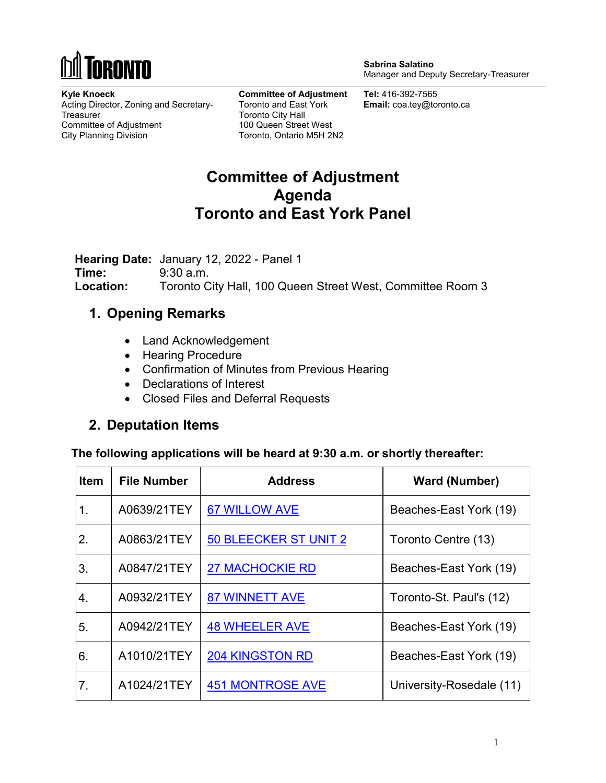

**Sabrina Salatino** Manager and Deputy Secretary-Treasurer

**Kyle Knoeck** Acting Director, Zoning and Secretary-**Treasurer** Committee of Adjustment City Planning Division

**Committee of Adjustment** Toronto and East York Toronto City Hall 100 Queen Street West Toronto, Ontario M5H 2N2

**Tel:** 416-392-7565 **Email:** coa.tey@toronto.ca

# **Committee of Adjustment Agenda Toronto and East York Panel**

**Hearing Date:** January 12, 2022 - Panel 1 **Time:** 9:30 a.m. **Location:** Toronto City Hall, 100 Queen Street West, Committee Room 3

### **1. Opening Remarks**

- Land Acknowledgement
- Hearing Procedure
- Confirmation of Minutes from Previous Hearing
- Declarations of Interest
- Closed Files and Deferral Requests

### **2. Deputation Items**

**The following applications will be heard at 9:30 a.m. or shortly thereafter:** 

| <b>Item</b> | <b>File Number</b> | <b>Address</b>          | <b>Ward (Number)</b>     |
|-------------|--------------------|-------------------------|--------------------------|
| 1.          | A0639/21TEY        | <b>67 WILLOW AVE</b>    | Beaches-East York (19)   |
| 2.          | A0863/21TEY        | 50 BLEECKER ST UNIT 2   | Toronto Centre (13)      |
| 3.          | A0847/21TEY        | <b>27 MACHOCKIE RD</b>  | Beaches-East York (19)   |
| 4.          | A0932/21TEY        | <b>87 WINNETT AVE</b>   | Toronto-St. Paul's (12)  |
| 5.          | A0942/21TEY        | <b>48 WHEELER AVE</b>   | Beaches-East York (19)   |
| 6.          | A1010/21TEY        | 204 KINGSTON RD         | Beaches-East York (19)   |
| 7.          | A1024/21TEY        | <b>451 MONTROSE AVE</b> | University-Rosedale (11) |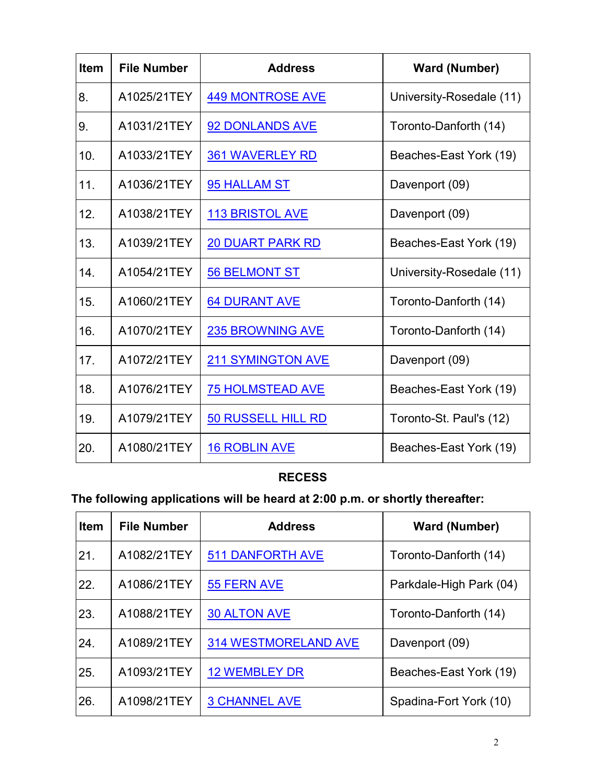| <b>Item</b> | <b>File Number</b> | <b>Address</b>            | <b>Ward (Number)</b>     |
|-------------|--------------------|---------------------------|--------------------------|
| 8.          | A1025/21TEY        | <b>449 MONTROSE AVE</b>   | University-Rosedale (11) |
| 9.          | A1031/21TEY        | 92 DONLANDS AVE           | Toronto-Danforth (14)    |
| 10.         | A1033/21TEY        | <b>361 WAVERLEY RD</b>    | Beaches-East York (19)   |
| 11.         | A1036/21TEY        | 95 HALLAM ST              | Davenport (09)           |
| 12.         | A1038/21TEY        | <b>113 BRISTOL AVE</b>    | Davenport (09)           |
| 13.         | A1039/21TEY        | <b>20 DUART PARK RD</b>   | Beaches-East York (19)   |
| 14.         | A1054/21TEY        | <b>56 BELMONT ST</b>      | University-Rosedale (11) |
| 15.         | A1060/21TEY        | <b>64 DURANT AVE</b>      | Toronto-Danforth (14)    |
| 16.         | A1070/21TEY        | <b>235 BROWNING AVE</b>   | Toronto-Danforth (14)    |
| 17.         | A1072/21TEY        | <b>211 SYMINGTON AVE</b>  | Davenport (09)           |
| 18.         | A1076/21TEY        | <b>75 HOLMSTEAD AVE</b>   | Beaches-East York (19)   |
| 19.         | A1079/21TEY        | <b>50 RUSSELL HILL RD</b> | Toronto-St. Paul's (12)  |
| 20.         | A1080/21TEY        | <b>16 ROBLIN AVE</b>      | Beaches-East York (19)   |

## **RECESS**

# **The following applications will be heard at 2:00 p.m. or shortly thereafter:**

| <b>Item</b> | <b>File Number</b> | <b>Address</b>              | <b>Ward (Number)</b>    |
|-------------|--------------------|-----------------------------|-------------------------|
| 21.         | A1082/21TEY        | <b>511 DANFORTH AVE</b>     | Toronto-Danforth (14)   |
| 22.         | A1086/21TEY        | 55 FERN AVE                 | Parkdale-High Park (04) |
| 23.         | A1088/21TEY        | <b>30 ALTON AVE</b>         | Toronto-Danforth (14)   |
| 24.         | A1089/21TEY        | <b>314 WESTMORELAND AVE</b> | Davenport (09)          |
| 25.         | A1093/21TEY        | <b>12 WEMBLEY DR</b>        | Beaches-East York (19)  |
| 26.         | A1098/21TEY        | <b>3 CHANNEL AVE</b>        | Spadina-Fort York (10)  |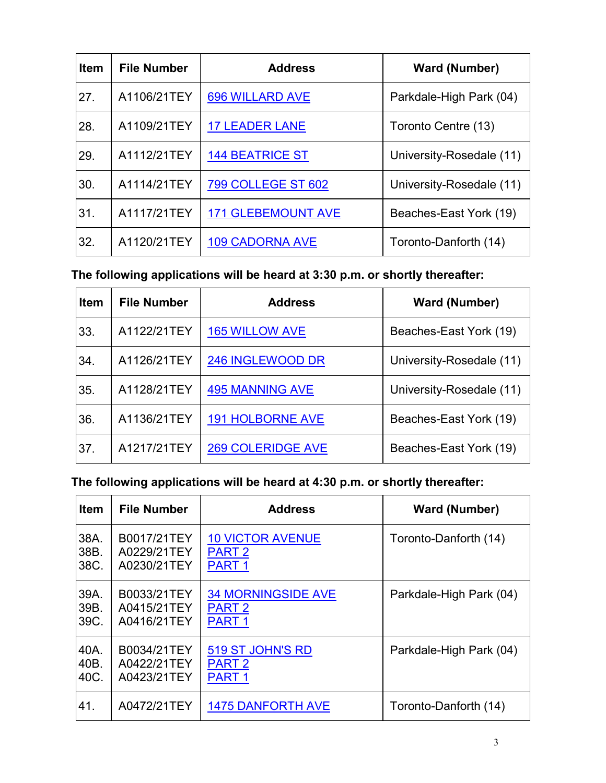| <b>Item</b> | <b>File Number</b> | <b>Address</b>            | <b>Ward (Number)</b>     |
|-------------|--------------------|---------------------------|--------------------------|
| 27.         | A1106/21TEY        | <b>696 WILLARD AVE</b>    | Parkdale-High Park (04)  |
| 28.         | A1109/21TEY        | <b>17 LEADER LANE</b>     | Toronto Centre (13)      |
| 29.         | A1112/21TEY        | <b>144 BEATRICE ST</b>    | University-Rosedale (11) |
| 30.         | A1114/21TEY        | <b>799 COLLEGE ST 602</b> | University-Rosedale (11) |
| 31.         | A1117/21TEY        | <b>171 GLEBEMOUNT AVE</b> | Beaches-East York (19)   |
| 32.         | A1120/21TEY        | <b>109 CADORNA AVE</b>    | Toronto-Danforth (14)    |

**The following applications will be heard at 3:30 p.m. or shortly thereafter:** 

| <b>Item</b> | <b>File Number</b> | <b>Address</b>           | <b>Ward (Number)</b>     |
|-------------|--------------------|--------------------------|--------------------------|
| 33.         | A1122/21TEY        | <b>165 WILLOW AVE</b>    | Beaches-East York (19)   |
| 34.         | A1126/21TEY        | 246 INGLEWOOD DR         | University-Rosedale (11) |
| 35.         | A1128/21TEY        | <b>495 MANNING AVE</b>   | University-Rosedale (11) |
| 36.         | A1136/21TEY        | <b>191 HOLBORNE AVE</b>  | Beaches-East York (19)   |
| 37.         | A1217/21TEY        | <b>269 COLERIDGE AVE</b> | Beaches-East York (19)   |

**The following applications will be heard at 4:30 p.m. or shortly thereafter:** 

| <b>Item</b> | <b>File Number</b> | <b>Address</b>            | <b>Ward (Number)</b>    |
|-------------|--------------------|---------------------------|-------------------------|
| 38A.        | B0017/21TEY        | <b>10 VICTOR AVENUE</b>   | Toronto-Danforth (14)   |
| 38B.        | A0229/21TEY        | PART <sub>2</sub>         |                         |
| 38C.        | A0230/21TEY        | PART <sub>1</sub>         |                         |
| 39A.        | B0033/21TEY        | <b>34 MORNINGSIDE AVE</b> | Parkdale-High Park (04) |
| 39B.        | A0415/21TEY        | PART <sub>2</sub>         |                         |
| 39C.        | A0416/21TEY        | PART <sub>1</sub>         |                         |
| 40A.        | B0034/21TEY        | 519 ST JOHN'S RD          | Parkdale-High Park (04) |
| 40B.        | A0422/21TEY        | <b>PART 2</b>             |                         |
| 40C.        | A0423/21TEY        | PART <sub>1</sub>         |                         |
| 41.         | A0472/21TEY        | <b>1475 DANFORTH AVE</b>  | Toronto-Danforth (14)   |